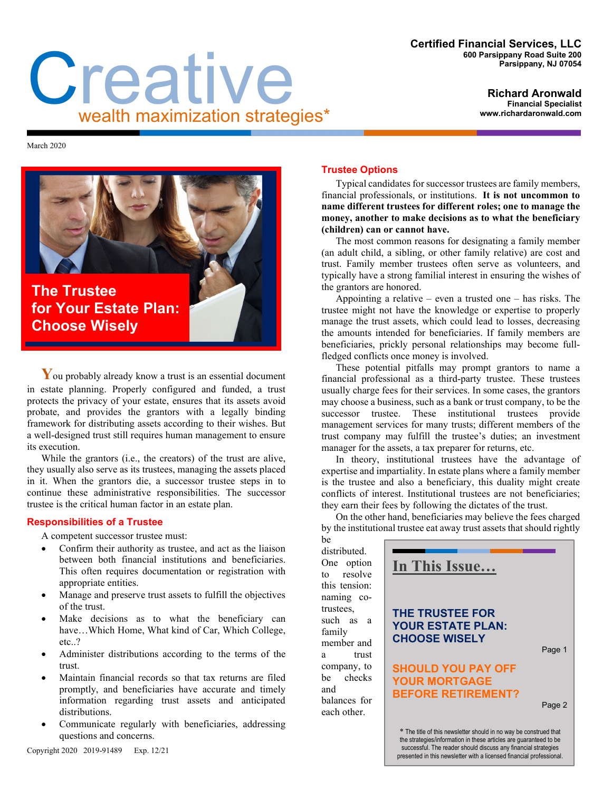#### **Certified Financial Services, LLC 600 Parsippany Road Suite 200 Parsippany, NJ 07054**

#### **Richard Aronwald Financial Specialist www.richardaronwald.com**

# **C**<br>**realth maximization strategies\***

March 2020



**The Trustee for Your Estate Plan: Choose Wisely**

You probably already know a trust is an essential document in estate planning. Properly configured and funded, a trust protects the privacy of your estate, ensures that its assets avoid probate, and provides the grantors with a legally binding framework for distributing assets according to their wishes. But a well-designed trust still requires human management to ensure its execution.

While the grantors (i.e., the creators) of the trust are alive, they usually also serve as its trustees, managing the assets placed in it. When the grantors die, a successor trustee steps in to continue these administrative responsibilities. The successor trustee is the critical human factor in an estate plan.

# **Responsibilities of a Trustee**

A competent successor trustee must:

- Confirm their authority as trustee, and act as the liaison between both financial institutions and beneficiaries. This often requires documentation or registration with appropriate entities.
- Manage and preserve trust assets to fulfill the objectives of the trust.
- Make decisions as to what the beneficiary can have…Which Home, What kind of Car, Which College, etc..?
- Administer distributions according to the terms of the trust.
- Maintain financial records so that tax returns are filed promptly, and beneficiaries have accurate and timely information regarding trust assets and anticipated distributions.
- Communicate regularly with beneficiaries, addressing questions and concerns.

# **Trustee Options**

Typical candidates for successor trustees are family members, financial professionals, or institutions. **It is not uncommon to name different trustees for different roles; one to manage the money, another to make decisions as to what the beneficiary (children) can or cannot have.** 

The most common reasons for designating a family member (an adult child, a sibling, or other family relative) are cost and trust. Family member trustees often serve as volunteers, and typically have a strong familial interest in ensuring the wishes of the grantors are honored.

Appointing a relative – even a trusted one – has risks. The trustee might not have the knowledge or expertise to properly manage the trust assets, which could lead to losses, decreasing the amounts intended for beneficiaries. If family members are beneficiaries, prickly personal relationships may become fullfledged conflicts once money is involved.

These potential pitfalls may prompt grantors to name a financial professional as a third-party trustee. These trustees usually charge fees for their services. In some cases, the grantors may choose a business, such as a bank or trust company, to be the successor trustee. These institutional trustees provide management services for many trusts; different members of the trust company may fulfill the trustee's duties; an investment manager for the assets, a tax preparer for returns, etc.

In theory, institutional trustees have the advantage of expertise and impartiality. In estate plans where a family member is the trustee and also a beneficiary, this duality might create conflicts of interest. Institutional trustees are not beneficiaries; they earn their fees by following the dictates of the trust.

On the other hand, beneficiaries may believe the fees charged by the institutional trustee eat away trust assets that should rightly

be distributed. One option to resolve this tension: naming cotrustees, such as a family member and a trust company, to be checks and balances for each other.



\* The title of this newsletter should in no way be construed that the strategies/information in these articles are guaranteed to be successful. The reader should discuss any financial strategies presented in this newsletter with a licensed financial professional.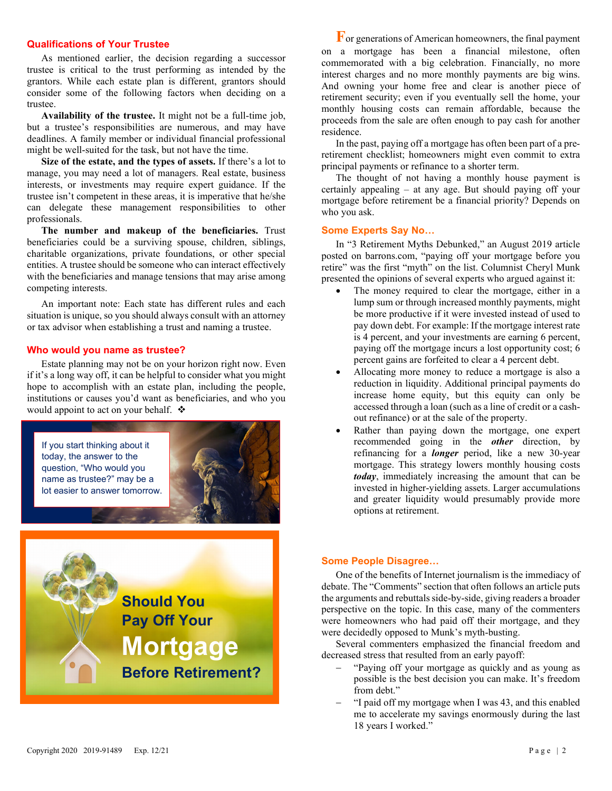## **Qualifications of Your Trustee**

As mentioned earlier, the decision regarding a successor trustee is critical to the trust performing as intended by the grantors. While each estate plan is different, grantors should consider some of the following factors when deciding on a trustee.

**Availability of the trustee.** It might not be a full-time job, but a trustee's responsibilities are numerous, and may have deadlines. A family member or individual financial professional might be well-suited for the task, but not have the time.

**Size of the estate, and the types of assets.** If there's a lot to manage, you may need a lot of managers. Real estate, business interests, or investments may require expert guidance. If the trustee isn't competent in these areas, it is imperative that he/she can delegate these management responsibilities to other professionals.

**The number and makeup of the beneficiaries.** Trust beneficiaries could be a surviving spouse, children, siblings, charitable organizations, private foundations, or other special entities. A trustee should be someone who can interact effectively with the beneficiaries and manage tensions that may arise among competing interests.

An important note: Each state has different rules and each situation is unique, so you should always consult with an attorney or tax advisor when establishing a trust and naming a trustee.

#### **Who would you name as trustee?**

Estate planning may not be on your horizon right now. Even if it's a long way off, it can be helpful to consider what you might hope to accomplish with an estate plan, including the people, institutions or causes you'd want as beneficiaries, and who you would appoint to act on your behalf.  $\triangle$ 



**Should You Pay Off Your Mortgage Before Retirement?**

**F** or generations of American homeowners, the final payment on a mortgage has been a financial milestone, often commemorated with a big celebration. Financially, no more interest charges and no more monthly payments are big wins. And owning your home free and clear is another piece of retirement security; even if you eventually sell the home, your monthly housing costs can remain affordable, because the proceeds from the sale are often enough to pay cash for another residence.

In the past, paying off a mortgage has often been part of a preretirement checklist; homeowners might even commit to extra principal payments or refinance to a shorter term.

The thought of not having a monthly house payment is certainly appealing – at any age. But should paying off your mortgage before retirement be a financial priority? Depends on who you ask.

### **Some Experts Say No…**

In "3 Retirement Myths Debunked," an August 2019 article posted on barrons.com, "paying off your mortgage before you retire" was the first "myth" on the list. Columnist Cheryl Munk presented the opinions of several experts who argued against it:

- The money required to clear the mortgage, either in a lump sum or through increased monthly payments, might be more productive if it were invested instead of used to pay down debt. For example: If the mortgage interest rate is 4 percent, and your investments are earning 6 percent, paying off the mortgage incurs a lost opportunity cost; 6 percent gains are forfeited to clear a 4 percent debt.
- Allocating more money to reduce a mortgage is also a reduction in liquidity. Additional principal payments do increase home equity, but this equity can only be accessed through a loan (such as a line of credit or a cashout refinance) or at the sale of the property.
- Rather than paying down the mortgage, one expert recommended going in the *other* direction, by refinancing for a *longer* period, like a new 30-year mortgage. This strategy lowers monthly housing costs *today*, immediately increasing the amount that can be invested in higher-yielding assets. Larger accumulations and greater liquidity would presumably provide more options at retirement.

### **Some People Disagree…**

One of the benefits of Internet journalism is the immediacy of debate. The "Comments" section that often follows an article puts the arguments and rebuttals side-by-side, giving readers a broader perspective on the topic. In this case, many of the commenters were homeowners who had paid off their mortgage, and they were decidedly opposed to Munk's myth-busting.

Several commenters emphasized the financial freedom and decreased stress that resulted from an early payoff:

- − "Paying off your mortgage as quickly and as young as possible is the best decision you can make. It's freedom from debt."
- − "I paid off my mortgage when I was 43, and this enabled me to accelerate my savings enormously during the last 18 years I worked."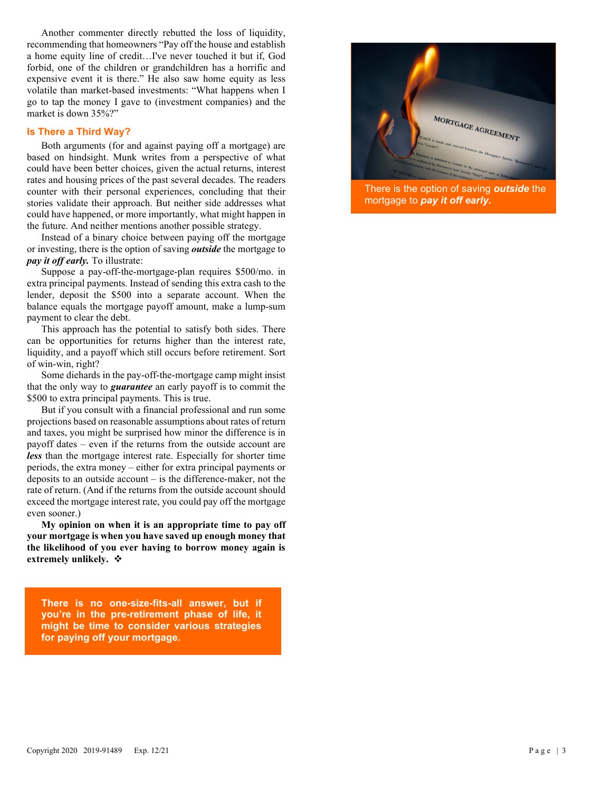Another commenter directly rebutted the loss of liquidity, recommending that homeowners "Pay off the house and establish a home equity line of credit…I've never touched it but if, God forbid, one of the children or grandchildren has a horrific and expensive event it is there." He also saw home equity as less volatile than market-based investments: "What happens when I go to tap the money I gave to (investment companies) and the market is down 35%?"

## **Is There a Third Way?**

Both arguments (for and against paying off a mortgage) are based on hindsight. Munk writes from a perspective of what could have been better choices, given the actual returns, interest rates and housing prices of the past several decades. The readers counter with their personal experiences, concluding that their stories validate their approach. But neither side addresses what could have happened, or more importantly, what might happen in the future. And neither mentions another possible strategy.

Instead of a binary choice between paying off the mortgage or investing, there is the option of saving *outside* the mortgage to *pay it off early.* To illustrate:

Suppose a pay-off-the-mortgage-plan requires \$500/mo. in extra principal payments. Instead of sending this extra cash to the lender, deposit the \$500 into a separate account. When the balance equals the mortgage payoff amount, make a lump-sum payment to clear the debt.

This approach has the potential to satisfy both sides. There can be opportunities for returns higher than the interest rate, liquidity, and a payoff which still occurs before retirement. Sort of win-win, right?

Some diehards in the pay-off-the-mortgage camp might insist that the only way to *guarantee* an early payoff is to commit the \$500 to extra principal payments. This is true.

But if you consult with a financial professional and run some projections based on reasonable assumptions about rates of return and taxes, you might be surprised how minor the difference is in payoff dates – even if the returns from the outside account are *less* than the mortgage interest rate. Especially for shorter time periods, the extra money – either for extra principal payments or deposits to an outside account – is the difference-maker, not the rate of return. (And if the returns from the outside account should exceed the mortgage interest rate, you could pay off the mortgage even sooner.)

**My opinion on when it is an appropriate time to pay off your mortgage is when you have saved up enough money that the likelihood of you ever having to borrow money again is extremely unlikely.**

**There is no one-size-fits-all answer, but if you're in the pre-retirement phase of life, it might be time to consider various strategies for paying off your mortgage.** 



There is the option of saving *outside* the mortgage to *pay it off early.*